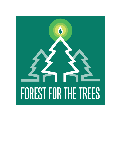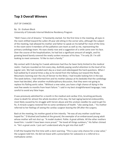# **Top 3 Overall Winners**

OUT OF CHANCES

By: Dr. Graham Block University of Colorado Internal Medicine Residency Program

"Well I have a lot of dreams," D hesitantly started. For the first time in the meeting, all eyes in the room shifted toward the sullen 29 year old sitting in the corner who, although the subject of the meeting, had allowed his mother and father to speak on his behalf for most of the time. In the room were 4 members of the palliative care team as well as me, representing the primary cardiology team. His eyes slowly rose and a suggestion of a smile came over his face. Over the course of the hospitalization, he had lost a significant amount of weight, and his growing beard barely covered the newly sunken recesses of his face. "I'm only 29. I'm still looking to meet someone. I'd like to start a family."

My contact with D during his 3 week admission had thus far been fairly limited to the medical realm. I had pre-rounded on him every day, dutifully paying careful attention to the level of his jugular vein. We had rounded each day as a team and sidestepped the hard questions. When I had walked by D several times a day as he stared from the hallway out toward the Rocky Mountains looming over the city of Denver to the West, I had trouble looking him in the eye. The week before, I had informed him and his mother (always at his bedside) that the cardiology team had decided, after another multidisciplinary discussion, that they were not going to replace his flailing aortic valve. "Without a new valve, you have a high chance of dying in the next few weeks to months from heart failure." I said in my best straightforward language; I was careful to avoid any false hope.

D was previously admitted for a month in the medical and cardiac ICUs, brushing perilously close to death for almost the whole duration of his stay. He had raging bacterial endocarditis, most likely caused by his struggle with heroin abuse and the unclean needles he used to get his fix. A miracle surgery restored him to some semblance of health. "Like seeing God…" his mother referred to her feelings of seeing the cardiac surgeon leaving the OR after the surgery.

Back at the meeting, his mother gazed at him intently. "He was all any mother could have hoped for." D blushed and looked at the ground, the exemplar of an embarrassed young adult whose mother will not shut up. "A model student. Polite. A great athlete. All the other mothers loved him. I couldn't have been more proud." "He loved all things outdoors," His father chimed in. "He's a great uncle. I just can't understand why he got into that stuff."

D left the hospital the first time with a stern warning. "This is your only chance for a new valve," the surgeon told him. He did not leave with a prescription for suboxone or a referral to a methadone center.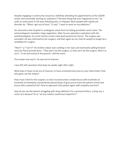Despite engaging in community resources, faithfully attending his appointments at the CEDAR center and eventually starting on suboxone ("The best thing that ever happened to me," he said), at some point in the year following year, D relapsed. Most people with opioid use disorder do. "When I get out of here," D said, "I want to work on my addiction."

He returned to the hospital in cardiogenic shock from his failing prosthetic aortic valve. The echocardiogram revealed a large vegetation. After his pre-operation evaluation with the anesthesiologists, his urine toxicity screen came back positive for heroin. The surgery was cancelled. He was informed by the surgeon, and then again by me, that he would no longer be a candidate for surgery.

"Won't" or "Can't?" His mother asked, tears welling in her eyes and eventually spilling forward onto her floral-printed dress. "They won't do the surgery, or they can't do the surgery. Won't or can't." D sat and stared at the ground. I did the same.

The answer was won't. He was out of chances.

I was left with questions that kept me awake night after night.

What does it mean to be out of chances, to have scratched every box on your lotto ticket? And who gives out the tickets?

How must it feel for the surgeon, to have reconstructed a model house with hundreds on hundreds of toothpicks and perfectly placed drops of glue just to have the patient smash that house with a powerful fist? How to approach that patient again with empathy and love?

How do we see the patient struggling with drug addiction? As a personal failure, a drop out, a victim of a disease? Or as "all any mother could have hoped for?"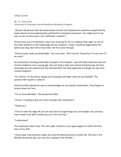### CROSS COVER

By: Dr. Jason John University of Colorado Internal Medicine Residency Program

"28-year-old woman with decompensated cirrhosis and hepatorenal syndrome complicated by hypervolemia and encephalopathy admitted for transplant evaluation. You might want to lay eyes on her at some point; she's definitely a watcher."

Victoria was one of 53 patients I was cross-covering for my co-residents that night. As one of the sicker patients on the hepatology service, however, I knew I would be paged about her before too long. Not half an hour later, the first came through.

"Victoria looks really uncomfortable," the nurse said. "She's due for Tylenol but I'm not sure it'll do much."

Accustomed to meeting profoundly ill people in the hospital, I was still taken aback by how sick Victoria looked at such a young age. She was lying in bed, eyes closed and grimacing, her face seemingly vacuum-packed over the skull beneath. Her belly appeared as though she was ninemonths pregnant.

"Hi, Victoria. I'm the doctor taking care of people overnight. How are you feeling?" The question felt stupid as I asked it.

Victoria briefly opened her eyes to acknowledge me, but quickly closed them. Tears began to stream down her face.

"I'm so uncomfortable," she whispered softly.

"I know. I'm going to give you some stronger pain medication."

"Thank you."

"I'll try to take the edge off, but we may have to tough things out a bit tonight. Your primary team needs to be able to wake you up in the morning."

"I understand."

The medication didn't help. The next night, Victoria's nurse again paged me within the first hour of my shift.

"Victoria got a paracentesis today, but now her blood pressure is pretty low. She was in the 90s/60s during the day, but now she's staying in the 70s/40s."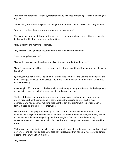"How are her other vitals? Is she symptomatic? Any evidence of bleeding?" I asked, thinking on my feet.

"She looks good and nothing else has changed. The numbers are just lower than they've been."

"Alright. I'll order albumin and some labs, and be over shortly"

The scene was immediately reassuring as I entered the room. Victoria was sitting in a chair, her belly now tiny like the rest of her, and…smiling?

"Hey, Doctor!" she merrily proclaimed.

"Hi, Victoria. Wow, you look great! I heard they drained your belly today."

"Yup! Twenty-five pounds!"

"I came by because your blood pressure is a little low. Any lightheadedness?"

"I don't know, maybe a little. I feel so much better though, and I might actually be able to sleep tonight."

I got paged two hours later. The albumin infusion was complete, and Victoria's blood pressure hadn't changed. She was sound asleep. The nurse asked me what I wanted to do. I told her to let Victoria sleep.

After a night off, I returned to the hospital for my first night doing admissions. At the beginning of the shift, I read through Victoria's chart from the previous day.

The hepatologists had determined she was not a transplant candidate, and they were not optimistic about her becoming one. Victoria was just too sick to tolerate such a major operation. She had been tearful during rounds that day and didn't want to participate in a family meeting planned for later that week.

With the admissions pager bound to go off any second, I wondered if I had time or if it was even my place to go visit Victoria. I wrestled with the idea for a few minutes, but finally yielded to the inexplicable something calling me there. Maybe a familiar face and distracting conversation would cheer her up a bit. But that hope was vanquished as soon as I entered her room.

Victoria was once again sitting in her chair, now angled away from the door. Her head was tilted downward, and as I walked around to face her, I discovered that her belly was larger and more distended than when I first met her.

"Hi, Victoria."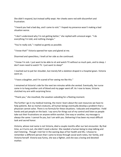She didn't respond, but instead softly wept. Her cheeks were red with discomfort and frustration.

"I heard you had a bad day, and I came to visit." I hoped my presence wasn't making a bad situation worse.

"I don't understand why I'm not getting better," she replied with univocal anger. "I do everything I'm told, and nothing changes."

"You're really sick," I replied as gently as possible.

"I know that!" Victoria opened her eyes and glared at me.

Disarmed and speechless, I knelt at her side as she continued.

"I know I'm sick. I just want to be able to sit and watch TV without so much pain, and to sleep. I don't even need to watch TV. I just want to sleep!"

I reached out to pat her shoulder, but merely felt a skeleton draped in a hospital gown. Victoria went on.

"I have a daughter, and I'm scared of her seeing me like this."

I remained at Victoria's side for the next ten minutes while she vented. Eventually, her nurse came in to hang another unit of blood and my pager went off. As I rose to leave, Victoria clutched my arm with surprising force.

"Thank you," she mouthed, the vexation subsiding for a fleeting moment.

The further I go in my medical training, the more I learn about the vast resources we have to help patients. But as mortal creatures, all human beings eventually develop a problem that a physician cannot solve. There is no formula for these situations. I educate and empathize. I hold hands and pat people on the back. I say sorry for things out of my control and listen as people take out their frustrations on anyone within earshot. One way or another, my message is always the same: I cannot fix you, but I am with you. Delivering it has been my most difficult task and sacred honor.

Victoria, whose real name is not Victoria, died a couple months after our last encounter. By that time, as it turns out, she didn't need a doctor. She needed a human being to stop talking and start listening. Though I met her in the waning days of her health and life, I choose to remember a different person that I came to know through social work notes, her family, and Victoria herself. Victoria was funny, she was a fighter, and she was a loving and devoted mother.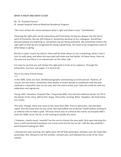## WHAT IS RIGHT AND WHAT IS EASY

By: Dr. Prashant Parmar St. Joseph Hospital Internal Medicine Residency Program

"We must all face the choice between what is right and what is easy" -Dumbledore.

Choosing the right path can be exhausting and frustrating, miring you deeper into the worst parts of humanity. But we still choose it; sometimes because of our colleagues. Sometimes because people are watching us. Sometimes we are being evaluated. We sometimes choose the right path so that we are recognized for doing a good thing. The need to be recognized is part of what keeps us going.

But this is what I teach my interns: there will be times when no one is watching, when it won't hurt to walk away, and when the easy path will make you feel better. At those times, they are the only one and there is no reward seen on the other side.

It is easy to say that you will choose the right path in front of an audience. Through the exhaustion, burnout, and anger, it is hard to do.

This is my story of that choice.

\*\*\*

In the EMR, notes are neat, distilled paragraphs summarizing an entire person. Patients, of course, are not charts. Sometimes their bodies or brains decide to misbehave with the plan outlined in a beautiful note (in my case, that the intern writes and I take the credit for with my addendum and signature).

Young. DKA. Homeless. Frequent flier. Frequently AMA. Any internal medicine doctor can fill in the blanks of her story. Add to this: Angry. Distrustful. Grating. Bitter. Hopeless. We both knew our scripts.

This time, though, there was more to her story than DKA. Prior to admission, she had been raped. And she knew that no one cared. She had walked out of Denver Health before coming to us without time to make a plan. The easy choice was to continue this trend; my hospital didn't have the SANE nurse, the kit, or the training to handle this story.

I, however, clearly cared. I wouldn't be the one to choose the easy path. And upon learning this story a well-connected friend gave me a local crisis line for her to call. I left the day satisfied; I went beyond treating her DKA..

I checked the next morning. Her lights were still off (like yesterday), blankets over her head (like yesterday). She refused to call the number, refused care, and followed the script of her story exactly.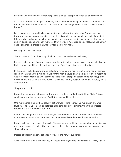I couldn't understand what went wrong in my plan, so I accepted her refusal and moved on.

At the end of the day, though, I broke my script. In between telling me to leave her alone, came the phrase "Why should I care. No one cares about me, and you don't either, so why should I bother".

Doctors operate in a world where we are trained to know the right thing. Our perspectives, therefore, can overlook or override others. Here is what I missed: a male authority figure just told her what to do and expected her to do it. Her power and choice had been forcibly taken, and my decisions on her behalf reinforced that world. In my desire to be a rescuer, I had almost once again made a choice that was easy for me but not right.

My script was not her script.

This was where I faced the easy path alone: I had tried and could walk away.

Instead, I tried something new. I asked permission to call for her and asked her for help. Maybe, I told her, we could figure this out together. Her "sure" was dismissive, defensive.

In the room, I pulled out my phone, called my wife and told her I wasn't joining her for dinner, called my intern and told him good luck for the next 4 hours (I assume his scared yelp meant he was totally ready for this). She listened to these calls. I dragged a stool next to her bed, picked up the phone and called the Blue Bench. I explained that my hospital had no SANE nurse, no kit, and no protocol.

She put me on hold.

I turned to my patient, who was staring at me completely baffled, and told her "I don't know what to do, and I need your help". And things changed from there.

One minute into the now-held call, my patient was talking to me. Five minutes in, she was laughing. She sat up, smiled, and started asking me about her options. When the advocate returned, she started telling her story.

Calls to the charge nurse, the case manager, and the house supervisor revealed that while I didn't have access to a SANE nurse or resources, I could coordinate with Denver Health.

I went back to ask her permission again. She was back on hold, but the room had hope. She told me about a women's shelter that the group could get her into and a way for her to report her story to the police.

Instead of undermining my patient's world, I found how to support it.

After four hours, a plan. The next day we would discharge her to Denver Health. There, a SANE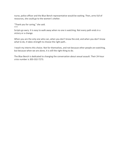nurse, police officer and the Blue Bench representative would be waiting. Then, arms full of resources, she could go to the women's shelter.

"Thank you for caring," she said. \*\*\*

Scripts go awry. It is easy to walk away when no one is watching. Not every path ends in a victory or a change.

When you are the only one who can, when you don't know the end, and when you don't know what to do, it takes strength to choose the right path..

I teach my interns this choice. Not for themselves, and not because other people are watching, but because when we are alone, it is still the right thing to do.

The Blue Bench is dedicated to changing the conversation about sexual assault. Their 24-hour crisis number is 303-332-7273.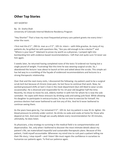# **Other Top Stories**

HEY SHORTIE!

By: Dr. Sneha Shah University of Colorado Internal Medicine Residency Program

"Hey Shortie!" That is how my most frequented primary care patient greets me every time I enter the room.

I first met this 6'1'', 290 Lb. man as a 5'2'', 105 Lb. intern – with little gravitas. As many of my patients do, he grilled me with questions like, "Are you old enough to be a doctor?" and "Where is your boss?" Adamant to prove my worth as a physician, I jumped right into bombarding him with evidence-based recommendations. I left that visit quite sure I'd never see him again.

5 weeks later, he returned having completed none of the tests I'd ordered nor having lost a single pound of weight. Frustrating! But this time he was wearing surgical scrubs. So, I abandoned the lecture I was about to launch at him and asked about the scrubs. This simple act has led way to a crumbling of the façade of evidenced recommendations and lectures to a strong therapeutic relationship.

Over that and the next many visits, I discovered the following: my patient used to be a surgical scrub tech but because of chronic knee pain, he lost focus to continue that work. Now, he worked graveyard shifts at Sam's Club in the meat department (but still liked to wear scrubs occasionally). He is divorced and responsible for his 14-year-old daughter half the time. Recently, he chose to move his sick, elderly mother in with him for whom he is now the sole caretaker. He copes with these stressors by drinking soda and eating junk food. While allowing his daughter to participate in extracurriculars, he has no time to exercise for himself. His previous doctors had never bothered to ask him any of this. And he'd never bothered to continue seeing them.

As the years have gone by, I've remained 5'2'', 105 Lb. but my patient is now 35 Lb. lighter. His blood pressure to entirely under control. He drinks no soda and cooks at home for those who depend on him. And even though we usually debate every recommendation for 20 minutes, ultimately, he does listen.

As physicians, a key strategy to surviving in the medical field is to compartmentalize and depersonalize. Yet, only when I bothered to discover the most intimate details about my patient's life, we materialized impactful and sustainable therapeutic plans. Because of this patient, I hold myself accountable: Whenever my mind tries to rush past a patient telling me their life story, I stop myself – and I listen! We must regain the confidence in ourselves to humanize our patients again. To find our patience again.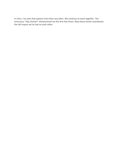In clinic, I've seen that patient more than any other. We continue to work together. The innocuous "Hey shortie!" disheartened me the first few times. Now those words reverberate the tall impact we've had on each other.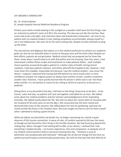### JOY ABOARD A SINKING SHIP

By: Dr. Kristina Barber

St. Joseph Hospital Internal Medicine Residency Program

Perfect, pure white orchids basking in the sunlight on a wooden shelf were the first things I saw as I entered my patient's room at 6:30 in the morning. This day was just like the last few. New issues had arisen overnight, and treatment ideas had already been exhausted. I sat next to my patient with my medical student in tow, feeling completely uncomfortable, pitying myself as I sat in my helplessness. We were all on the same sinking ship, despite my best attempts to plug up the holes.

The neuroticism and diligence that allows us in the medical profession to achieve our academic goals can also be our downfall when it comes to the gray zone and the times when despite our best efforts, patients do not get better. Medical school had not prepared me for times like these -times when I would need to sit with discomfort and not knowing. Over four years, I had memorized a million illness scripts and treatments to make patients better - each multiple choice question answered brought a patient to a better state of health. During clinical rotations, I had seen patients improve, and others who left the hospital to die. However, I had never been the culpable, responsible one because I was the medical student. I was never the doctor. I suppose I expected that having that MD behind my name would usher in more confidence and give me magical powers to always have another answer, another treatment, another idea. However, I have quickly learned that the doctor's white coat is not l ike those white orchids. It is not perfect or meant to be a thing at which to marvel or to be put on a pedestal.

Sitting there in my discomfort that day, I fell back on the thing I know how to do best – to be human. Later that day, my patient and I just sat together and talked for an hour. We talked some about her medical problems and her hesitant acknowledgement of her impending mortality. We talked mostly about her life. She told me about her recent safari to Tanzania with her husband of 50 some years to see the Big 5. She recounted how the lions roared and devoured their prey on the savanna. She talked about her love for gardening, and how she raised orchids like those in her hospital room. She even taught me how to care for them myself when I admitted to lacking a green thumb.

While we talked, my discomfort sat beside me, no longer consuming me, merely a quiet observer of this human connection. A sense of calm, of comfort seemed to fall over the room, as though we had found the silver lining in this terrible situation. We had found joy aboard this sinking ship. When I thought I had nothing left to offer as her doctor, I realized that I had everything I needed already – my human experience, time and compassion. A saying by one of my medical school teachers took on personal meaning that day - "Kindness is easy to administer and exceptionally well tolerated." Although this all did not change the fact that my patient pursued hospice and eventually passed away, she told me that day how that little bit of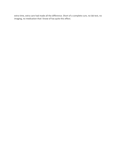extra time, extra care had made all the difference. Short of a complete cure, no lab test, no imaging, no medication that I know of has quite this effect.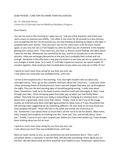## DEAR PATIENT, I CARE FOR YOU MORE THAN YOU EVER SEE

By: Dr. Maranda Herner University of Colorado Internal Medicine Residency Program

#### Dear Patient,

You see me early in the morning as I wake you up. I ask you a few questions and move your warm covers to examine you briefly. I am often in the room for 30 seconds to a few minutes, and considering the first 10-20 seconds you are only thinking of blinking to adapt to the light, it probably feels even shorter. Then you don't see me for a few hours until the team rounds again, or you may not see us if we happen to come by when you are elsewhere in the hospital getting your various tests. If we catch you, you hear us discuss recent findings and ideas about a plan for the day. Afterwards, we summarize for you, and try to include you in the ultimate decision. Likely we exchange pleasantries at the end, but it probably feels rushed and not enough. Sometime in the afternoon I may pop my head in to see how you are or update you on any changes or knew news. So in total, if I estimate a generous amount, we spend maybe 10 minutes together. How could you feel my dedication to you when you only see so little of me?

I spend so much more time caring for you than you ever see. I care about you more than you probably know, until now.

I arrive at the hospital early in the morning. First, the night resident tells me about any overnight events. Then I go to the computer and learn about the "chart you." I view your vitals - -those annoying checks of blood pressure, heart rate and oxygen that keep you up throughout the night. They are the best warning signs of something going wrong. I really care about them. Sometimes I walk up to the heart monitor machine itself and interrogate it. Next, I look through your labs-- those annoying pokes that wake you up when you had finally fallen asleep. They help me see how your body is responding or changing at a chemical level. I care about them a good deal, some more than others. Finally, I look to see if any of the image studies we ordered were done overnight (guaranteed no sleep now) or if any consultants had left evening notes suggesting we do something different. Oh and I look to see how much you have pooped and peed-- those silly hats in the toilet and urinals are so precious to me. Sometimes I care about these so much that I call the nurse to ask for details. Often times, other student and residents are looking over the "chart you" too, and we talk about "chart you." Finally, I scurry to your room to greet you. Before you have even woken up, I have already been thinking about you for an hour.

I spend so much more time caring for you than you ever see. I care about you more than you probably know, until now.

Next our team rounds on you, as you sometimes see and sometimes don't. Then I call a consultant doctor, a specialist in her/her field, and describe everything I know about you to him/her. We talk about what we think would be most helpful to you. Sometimes I spend hours